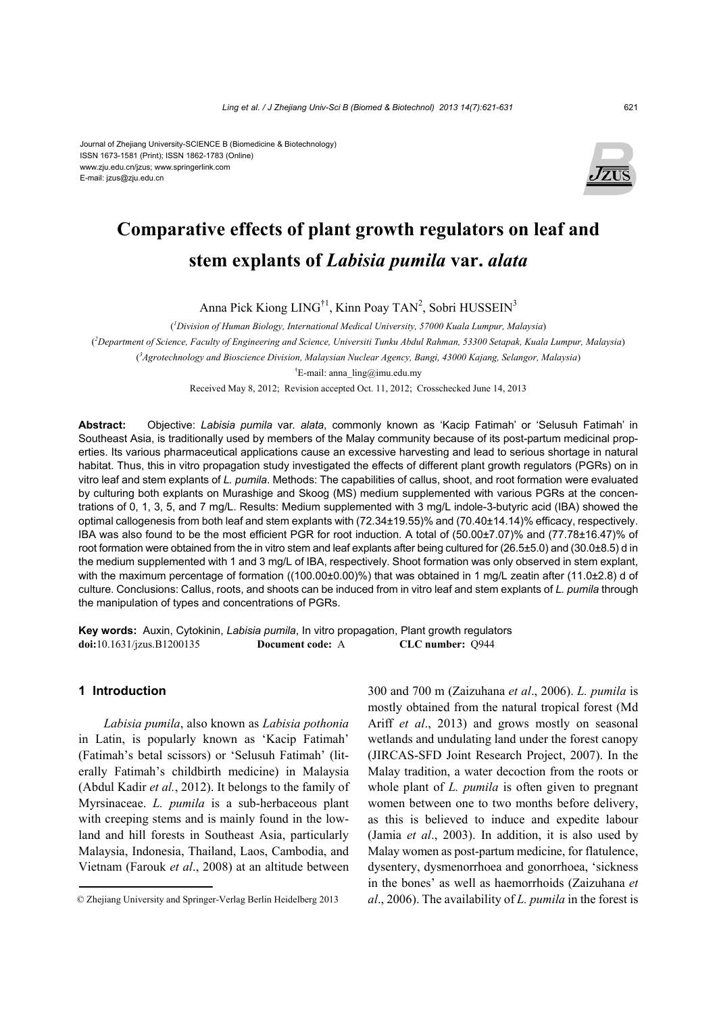#### Journal of Zhejiang University-SCIENCE B (Biomedicine & Biotechnology) ISSN 1673-1581 (Print); ISSN 1862-1783 (Online) www.zju.edu.cn/jzus; www.springerlink.com E-mail: jzus@zju.edu.cn



# **Comparative effects of plant growth regulators on leaf and stem explants of** *Labisia pumila* **var.** *alata*

Anna Pick Kiong  $LING^{\dagger 1}$ , Kinn Poay TAN<sup>2</sup>, Sobri HUSSEIN<sup>3</sup>

( *1 Division of Human Biology, International Medical University, 57000 Kuala Lumpur, Malaysia*)

( *2 Department of Science, Faculty of Engineering and Science, Universiti Tunku Abdul Rahman, 53300 Setapak, Kuala Lumpur, Malaysia*) ( *3 Agrotechnology and Bioscience Division, Malaysian Nuclear Agency, Bangi, 43000 Kajang, Selangor, Malaysia*) † E-mail: anna\_ling@imu.edu.my

Received May 8, 2012; Revision accepted Oct. 11, 2012; Crosschecked June 14, 2013

**Abstract:** Objective: *Labisia pumila* var. *alata*, commonly known as 'Kacip Fatimah' or 'Selusuh Fatimah' in Southeast Asia, is traditionally used by members of the Malay community because of its post-partum medicinal properties. Its various pharmaceutical applications cause an excessive harvesting and lead to serious shortage in natural habitat. Thus, this in vitro propagation study investigated the effects of different plant growth regulators (PGRs) on in vitro leaf and stem explants of *L. pumila*. Methods: The capabilities of callus, shoot, and root formation were evaluated by culturing both explants on Murashige and Skoog (MS) medium supplemented with various PGRs at the concentrations of 0, 1, 3, 5, and 7 mg/L. Results: Medium supplemented with 3 mg/L indole-3-butyric acid (IBA) showed the optimal callogenesis from both leaf and stem explants with (72.34±19.55)% and (70.40±14.14)% efficacy, respectively. IBA was also found to be the most efficient PGR for root induction. A total of (50.00±7.07)% and (77.78±16.47)% of root formation were obtained from the in vitro stem and leaf explants after being cultured for (26.5±5.0) and (30.0±8.5) d in the medium supplemented with 1 and 3 mg/L of IBA, respectively. Shoot formation was only observed in stem explant, with the maximum percentage of formation ((100.00±0.00)%) that was obtained in 1 mg/L zeatin after (11.0±2.8) d of culture. Conclusions: Callus, roots, and shoots can be induced from in vitro leaf and stem explants of *L. pumila* through the manipulation of types and concentrations of PGRs.

**Key words:** Auxin, Cytokinin, *Labisia pumila*, In vitro propagation, Plant growth regulators **doi:**10.1631/jzus.B1200135 **Document code:** A **CLC number:** Q944

## **1 Introduction**

*Labisia pumila*, also known as *Labisia pothonia* in Latin, is popularly known as 'Kacip Fatimah' (Fatimah's betal scissors) or 'Selusuh Fatimah' (literally Fatimah's childbirth medicine) in Malaysia (Abdul Kadir *et al.*, 2012). It belongs to the family of Myrsinaceae. *L. pumila* is a sub-herbaceous plant with creeping stems and is mainly found in the lowland and hill forests in Southeast Asia, particularly Malaysia, Indonesia, Thailand, Laos, Cambodia, and Vietnam (Farouk *et al*., 2008) at an altitude between

300 and 700 m (Zaizuhana *et al*., 2006). *L. pumila* is mostly obtained from the natural tropical forest (Md Ariff *et al*., 2013) and grows mostly on seasonal wetlands and undulating land under the forest canopy (JIRCAS-SFD Joint Research Project, 2007). In the Malay tradition, a water decoction from the roots or whole plant of *L. pumila* is often given to pregnant women between one to two months before delivery, as this is believed to induce and expedite labour (Jamia *et al*., 2003). In addition, it is also used by Malay women as post-partum medicine, for flatulence, dysentery, dysmenorrhoea and gonorrhoea, 'sickness in the bones' as well as haemorrhoids (Zaizuhana *et al*., 2006). The availability of *L. pumila* in the forest is

<sup>©</sup> Zhejiang University and Springer-Verlag Berlin Heidelberg 2013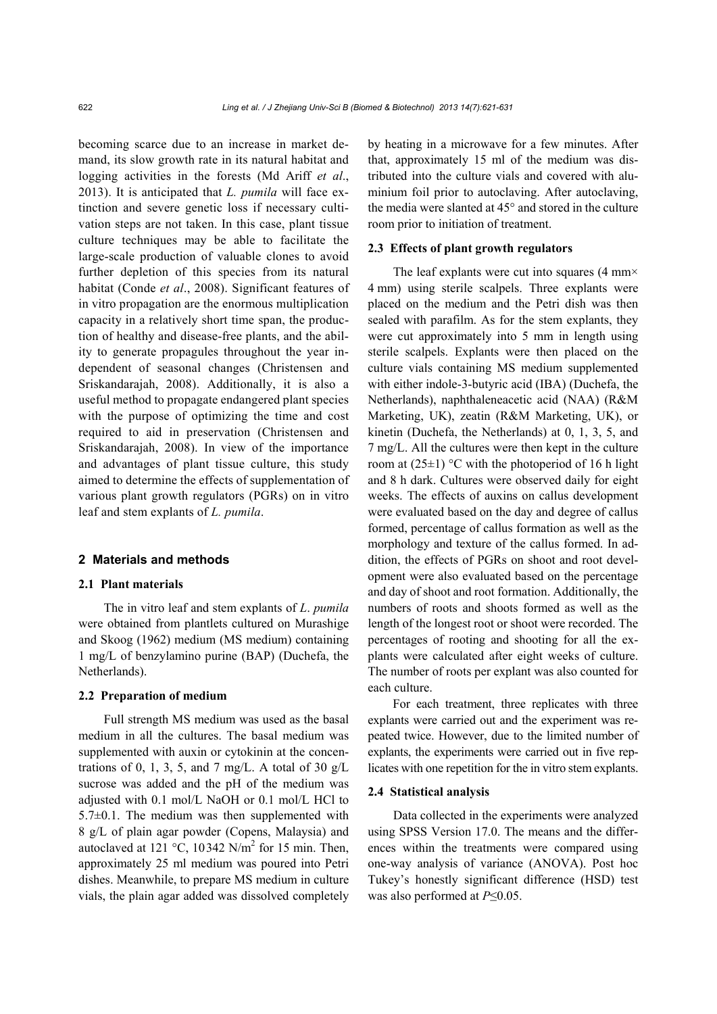becoming scarce due to an increase in market demand, its slow growth rate in its natural habitat and logging activities in the forests (Md Ariff *et al*., 2013). It is anticipated that *L. pumila* will face extinction and severe genetic loss if necessary cultivation steps are not taken. In this case, plant tissue culture techniques may be able to facilitate the large-scale production of valuable clones to avoid further depletion of this species from its natural habitat (Conde *et al*., 2008). Significant features of in vitro propagation are the enormous multiplication capacity in a relatively short time span, the production of healthy and disease-free plants, and the ability to generate propagules throughout the year independent of seasonal changes (Christensen and Sriskandarajah, 2008). Additionally, it is also a useful method to propagate endangered plant species with the purpose of optimizing the time and cost required to aid in preservation (Christensen and Sriskandarajah, 2008). In view of the importance and advantages of plant tissue culture, this study aimed to determine the effects of supplementation of various plant growth regulators (PGRs) on in vitro leaf and stem explants of *L. pumila*.

## **2 Materials and methods**

#### **2.1 Plant materials**

The in vitro leaf and stem explants of *L*. *pumila*  were obtained from plantlets cultured on Murashige and Skoog (1962) medium (MS medium) containing 1 mg/L of benzylamino purine (BAP) (Duchefa, the Netherlands).

#### **2.2 Preparation of medium**

Full strength MS medium was used as the basal medium in all the cultures. The basal medium was supplemented with auxin or cytokinin at the concentrations of 0, 1, 3, 5, and 7 mg/L. A total of 30  $g/L$ sucrose was added and the pH of the medium was adjusted with 0.1 mol/L NaOH or 0.1 mol/L HCl to 5.7±0.1. The medium was then supplemented with 8 g/L of plain agar powder (Copens, Malaysia) and autoclaved at 121 °C, 10342 N/m<sup>2</sup> for 15 min. Then, approximately 25 ml medium was poured into Petri dishes. Meanwhile, to prepare MS medium in culture vials, the plain agar added was dissolved completely

by heating in a microwave for a few minutes. After that, approximately 15 ml of the medium was distributed into the culture vials and covered with aluminium foil prior to autoclaving. After autoclaving, the media were slanted at 45° and stored in the culture room prior to initiation of treatment.

## **2.3 Effects of plant growth regulators**

The leaf explants were cut into squares  $(4 \text{ mm} \times )$ 4 mm) using sterile scalpels. Three explants were placed on the medium and the Petri dish was then sealed with parafilm. As for the stem explants, they were cut approximately into 5 mm in length using sterile scalpels. Explants were then placed on the culture vials containing MS medium supplemented with either indole-3-butyric acid (IBA) (Duchefa, the Netherlands), naphthaleneacetic acid (NAA) (R&M Marketing, UK), zeatin (R&M Marketing, UK), or kinetin (Duchefa, the Netherlands) at 0, 1, 3, 5, and 7 mg/L. All the cultures were then kept in the culture room at  $(25\pm1)$  °C with the photoperiod of 16 h light and 8 h dark. Cultures were observed daily for eight weeks. The effects of auxins on callus development were evaluated based on the day and degree of callus formed, percentage of callus formation as well as the morphology and texture of the callus formed. In addition, the effects of PGRs on shoot and root development were also evaluated based on the percentage and day of shoot and root formation. Additionally, the numbers of roots and shoots formed as well as the length of the longest root or shoot were recorded. The percentages of rooting and shooting for all the explants were calculated after eight weeks of culture. The number of roots per explant was also counted for each culture.

For each treatment, three replicates with three explants were carried out and the experiment was repeated twice. However, due to the limited number of explants, the experiments were carried out in five replicates with one repetition for the in vitro stem explants.

## **2.4 Statistical analysis**

Data collected in the experiments were analyzed using SPSS Version 17.0. The means and the differences within the treatments were compared using one-way analysis of variance (ANOVA). Post hoc Tukey's honestly significant difference (HSD) test was also performed at *P*≤0.05.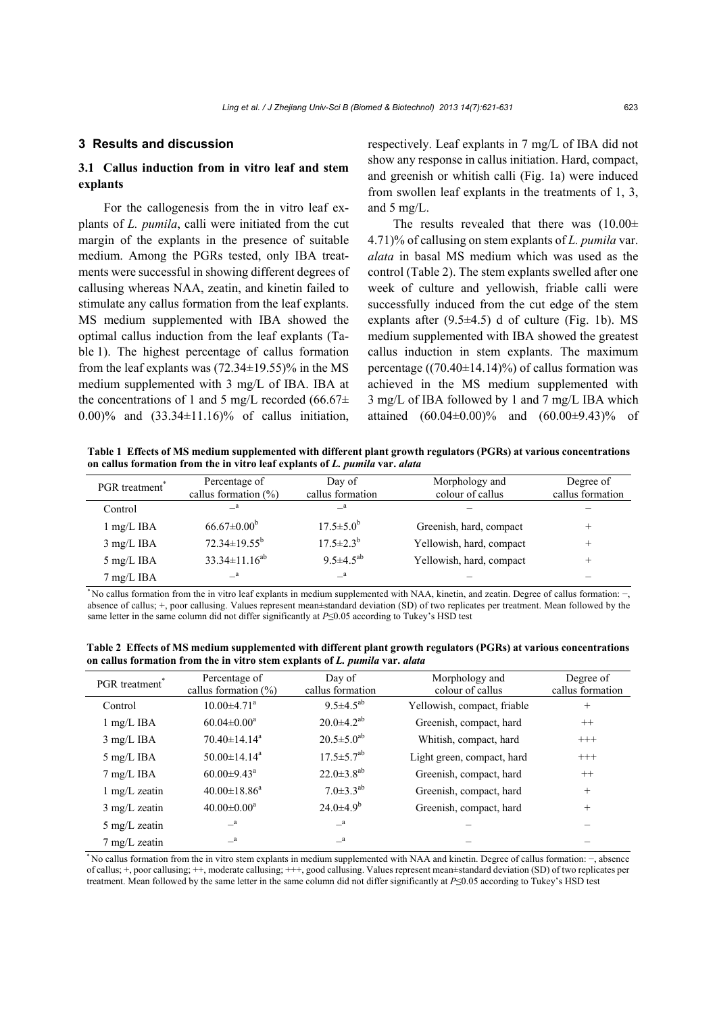## **3 Results and discussion**

## **3.1 Callus induction from in vitro leaf and stem explants**

For the callogenesis from the in vitro leaf explants of *L. pumila*, calli were initiated from the cut margin of the explants in the presence of suitable medium. Among the PGRs tested, only IBA treatments were successful in showing different degrees of callusing whereas NAA, zeatin, and kinetin failed to stimulate any callus formation from the leaf explants. MS medium supplemented with IBA showed the optimal callus induction from the leaf explants (Table 1). The highest percentage of callus formation from the leaf explants was  $(72.34\pm19.55)\%$  in the MS medium supplemented with 3 mg/L of IBA. IBA at the concentrations of 1 and 5 mg/L recorded (66.67 $\pm$ 0.00)% and (33.34±11.16)% of callus initiation, respectively. Leaf explants in 7 mg/L of IBA did not show any response in callus initiation. Hard, compact, and greenish or whitish calli (Fig. 1a) were induced from swollen leaf explants in the treatments of 1, 3, and 5 mg/L.

The results revealed that there was  $(10.00\pm$ 4.71)% of callusing on stem explants of *L. pumila* var. *alata* in basal MS medium which was used as the control (Table 2). The stem explants swelled after one week of culture and yellowish, friable calli were successfully induced from the cut edge of the stem explants after  $(9.5\pm4.5)$  d of culture (Fig. 1b). MS medium supplemented with IBA showed the greatest callus induction in stem explants. The maximum percentage  $((70.40\pm14.14)\%)$  of callus formation was achieved in the MS medium supplemented with 3 mg/L of IBA followed by 1 and 7 mg/L IBA which attained (60.04±0.00)% and (60.00±9.43)% of

**Table 1 Effects of MS medium supplemented with different plant growth regulators (PGRs) at various concentrations on callus formation from the in vitro leaf explants of** *L. pumila* **var.** *alata*

| PGR treatment <sup>*</sup> | Percentage of                  | Day of                 | Morphology and           | Degree of        |
|----------------------------|--------------------------------|------------------------|--------------------------|------------------|
|                            | callus formation $(\% )$       | callus formation       | colour of callus         | callus formation |
| Control                    | $\mathbf{a}$                   | a                      |                          |                  |
| $1 \text{ mg/L}$ IBA       | $66.67 \pm 0.00^b$             | $17.5 \pm 5.0^b$       | Greenish, hard, compact  |                  |
| $3 \text{ mg/L}$ IBA       | $72.34 \pm 19.55^{\mathrm{b}}$ | $17.5 \pm 2.3^{\rm b}$ | Yellowish, hard, compact |                  |
| $5 \text{ mg/L}$ IBA       | $33.34 \pm 11.16^{ab}$         | $9.5 \pm 4.5^{ab}$     | Yellowish, hard, compact |                  |
| 7 mg/L IBA                 | $\mathbf{a}$                   | $-{}^a$                |                          |                  |

\* No callus formation from the in vitro leaf explants in medium supplemented with NAA, kinetin, and zeatin. Degree of callus formation: −, absence of callus; +, poor callusing. Values represent mean±standard deviation (SD) of two replicates per treatment. Mean followed by the same letter in the same column did not differ significantly at *P*≤0.05 according to Tukey's HSD test

**Table 2 Effects of MS medium supplemented with different plant growth regulators (PGRs) at various concentrations on callus formation from the in vitro stem explants of** *L. pumila* **var.** *alata*

| PGR treatment           | Percentage of                 | Day of                       | Morphology and              | Degree of        |
|-------------------------|-------------------------------|------------------------------|-----------------------------|------------------|
|                         | callus formation $(\% )$      | callus formation             | colour of callus            | callus formation |
| Control                 | $10.00 \pm 4.71$ <sup>a</sup> | $9.5 \pm 4.5^{ab}$           | Yellowish, compact, friable | $^{+}$           |
| $1 \text{ mg/L}$ IBA    | $60.04 \pm 0.00^a$            | $20.0 \pm 4.2$ <sup>ab</sup> | Greenish, compact, hard     | $^{++}$          |
| $3$ mg/L IBA            | $70.40 \pm 14.14^a$           | $20.5 \pm 5.0^{ab}$          | Whitish, compact, hard      | $^{+++}$         |
| 5 mg/L IBA              | $50.00 \pm 14.14^a$           | $17.5 \pm 5.7$ <sup>ab</sup> | Light green, compact, hard  | $^{+++}$         |
| $7 \text{ mg/L}$ IBA    | $60.00 \pm 9.43$ <sup>a</sup> | $22.0 \pm 3.8$ <sup>ab</sup> | Greenish, compact, hard     | $++$             |
| $1 \text{ mg/L}$ zeatin | $40.00 \pm 18.86^a$           | $7.0 \pm 3.3^{ab}$           | Greenish, compact, hard     | $+$              |
| $3$ mg/L zeatin         | $40.00 \pm 0.00^a$            | $24.0 \pm 4.9^b$             | Greenish, compact, hard     | $+$              |
| $5 \text{ mg/L}$ zeatin | $\equiv$ <sup>a</sup>         | $\equiv$ <sup>a</sup>        |                             |                  |
| $7 \text{ mg/L}$ zeatin | $\equiv$ <sup>a</sup>         | $-$ <sup>a</sup>             |                             |                  |

\* No callus formation from the in vitro stem explants in medium supplemented with NAA and kinetin. Degree of callus formation: −, absence of callus; +, poor callusing; ++, moderate callusing; +++, good callusing. Values represent mean±standard deviation (SD) of two replicates per treatment. Mean followed by the same letter in the same column did not differ significantly at *P*≤0.05 according to Tukey's HSD test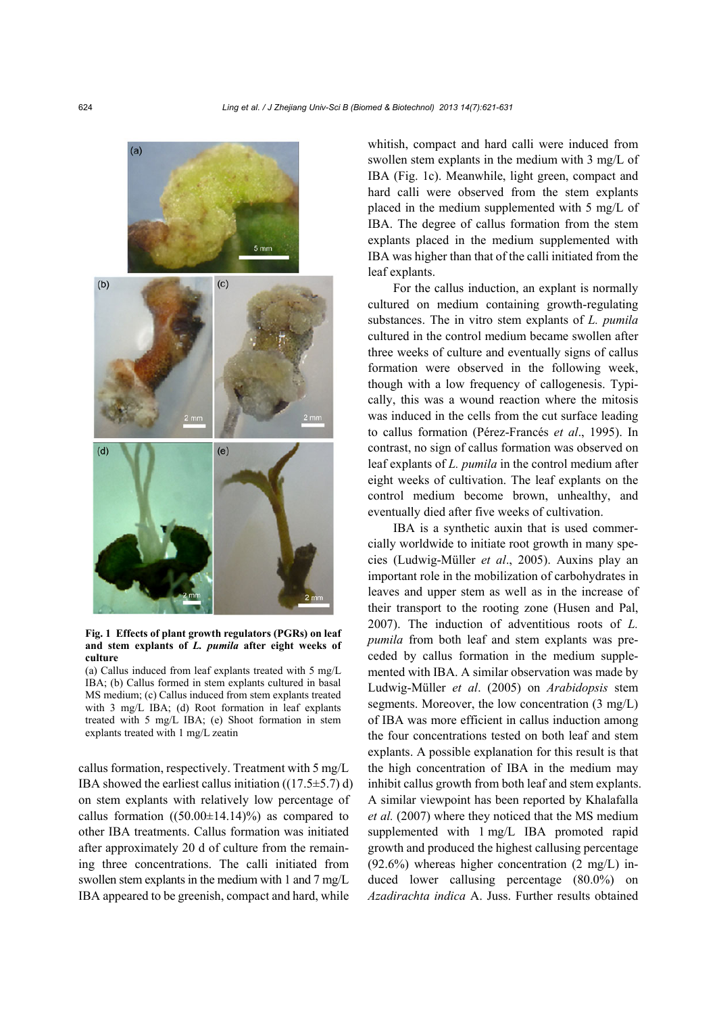

**Fig. 1 Effects of plant growth regulators (PGRs) on leaf and stem explants of** *L. pumila* **after eight weeks of culture** 

(a) Callus induced from leaf explants treated with 5 mg/L IBA; (b) Callus formed in stem explants cultured in basal MS medium; (c) Callus induced from stem explants treated with 3 mg/L IBA; (d) Root formation in leaf explants treated with 5 mg/L IBA; (e) Shoot formation in stem explants treated with 1 mg/L zeatin

callus formation, respectively. Treatment with 5 mg/L IBA showed the earliest callus initiation  $((17.5\pm5.7)$  d) on stem explants with relatively low percentage of callus formation  $((50.00\pm14.14)\%)$  as compared to other IBA treatments. Callus formation was initiated after approximately 20 d of culture from the remaining three concentrations. The calli initiated from swollen stem explants in the medium with 1 and 7 mg/L IBA appeared to be greenish, compact and hard, while

whitish, compact and hard calli were induced from swollen stem explants in the medium with 3 mg/L of IBA (Fig. 1c). Meanwhile, light green, compact and hard calli were observed from the stem explants placed in the medium supplemented with 5 mg/L of IBA. The degree of callus formation from the stem explants placed in the medium supplemented with IBA was higher than that of the calli initiated from the leaf explants.

For the callus induction, an explant is normally cultured on medium containing growth-regulating substances. The in vitro stem explants of *L. pumila*  cultured in the control medium became swollen after three weeks of culture and eventually signs of callus formation were observed in the following week, though with a low frequency of callogenesis. Typically, this was a wound reaction where the mitosis was induced in the cells from the cut surface leading to callus formation (Pérez-Francés *et al*., 1995). In contrast, no sign of callus formation was observed on leaf explants of *L. pumila* in the control medium after eight weeks of cultivation. The leaf explants on the control medium become brown, unhealthy, and eventually died after five weeks of cultivation.

IBA is a synthetic auxin that is used commercially worldwide to initiate root growth in many species (Ludwig-Müller *et al*., 2005). Auxins play an important role in the mobilization of carbohydrates in leaves and upper stem as well as in the increase of their transport to the rooting zone (Husen and Pal, 2007). The induction of adventitious roots of *L. pumila* from both leaf and stem explants was preceded by callus formation in the medium supplemented with IBA. A similar observation was made by Ludwig-Müller *et al*. (2005) on *Arabidopsis* stem segments. Moreover, the low concentration (3 mg/L) of IBA was more efficient in callus induction among the four concentrations tested on both leaf and stem explants. A possible explanation for this result is that the high concentration of IBA in the medium may inhibit callus growth from both leaf and stem explants. A similar viewpoint has been reported by Khalafalla *et al.* (2007) where they noticed that the MS medium supplemented with 1 mg/L IBA promoted rapid growth and produced the highest callusing percentage  $(92.6\%)$  whereas higher concentration  $(2 \text{ mg/L})$  induced lower callusing percentage (80.0%) on *Azadirachta indica* A. Juss. Further results obtained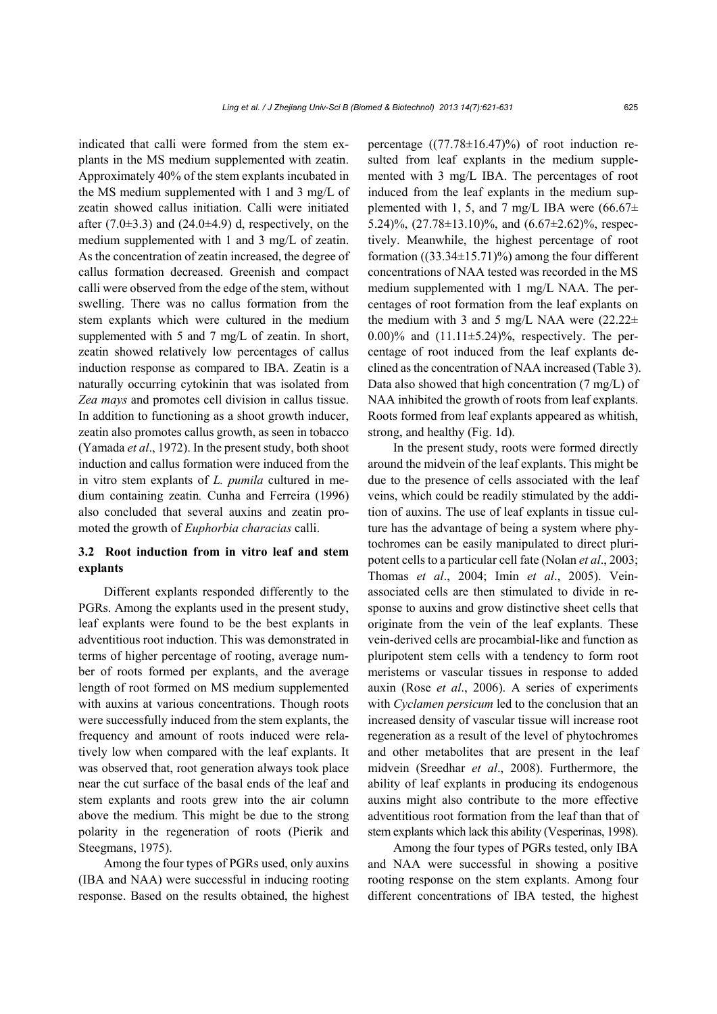indicated that calli were formed from the stem explants in the MS medium supplemented with zeatin. Approximately 40% of the stem explants incubated in the MS medium supplemented with 1 and 3 mg/L of zeatin showed callus initiation. Calli were initiated after  $(7.0\pm3.3)$  and  $(24.0\pm4.9)$  d, respectively, on the medium supplemented with 1 and 3 mg/L of zeatin. As the concentration of zeatin increased, the degree of callus formation decreased. Greenish and compact calli were observed from the edge of the stem, without swelling. There was no callus formation from the stem explants which were cultured in the medium supplemented with 5 and 7 mg/L of zeatin. In short, zeatin showed relatively low percentages of callus induction response as compared to IBA. Zeatin is a naturally occurring cytokinin that was isolated from *Zea mays* and promotes cell division in callus tissue. In addition to functioning as a shoot growth inducer, zeatin also promotes callus growth, as seen in tobacco (Yamada *et al*., 1972). In the present study, both shoot induction and callus formation were induced from the in vitro stem explants of *L. pumila* cultured in medium containing zeatin*.* Cunha and Ferreira (1996) also concluded that several auxins and zeatin promoted the growth of *Euphorbia characias* calli.

# **3.2 Root induction from in vitro leaf and stem explants**

Different explants responded differently to the PGRs. Among the explants used in the present study, leaf explants were found to be the best explants in adventitious root induction. This was demonstrated in terms of higher percentage of rooting, average number of roots formed per explants, and the average length of root formed on MS medium supplemented with auxins at various concentrations. Though roots were successfully induced from the stem explants, the frequency and amount of roots induced were relatively low when compared with the leaf explants. It was observed that, root generation always took place near the cut surface of the basal ends of the leaf and stem explants and roots grew into the air column above the medium. This might be due to the strong polarity in the regeneration of roots (Pierik and Steegmans, 1975).

Among the four types of PGRs used, only auxins (IBA and NAA) were successful in inducing rooting response. Based on the results obtained, the highest percentage  $((77.78\pm 16.47)\%)$  of root induction resulted from leaf explants in the medium supplemented with 3 mg/L IBA. The percentages of root induced from the leaf explants in the medium supplemented with 1, 5, and 7 mg/L IBA were  $(66.67 \pm$ 5.24)%, (27.78±13.10)%, and (6.67±2.62)%, respectively. Meanwhile, the highest percentage of root formation  $((33.34 \pm 15.71)\%)$  among the four different concentrations of NAA tested was recorded in the MS medium supplemented with 1 mg/L NAA. The percentages of root formation from the leaf explants on the medium with 3 and 5 mg/L NAA were  $(22.22 \pm$ 0.00)% and  $(11.11\pm5.24)$ %, respectively. The percentage of root induced from the leaf explants declined as the concentration of NAA increased (Table 3). Data also showed that high concentration (7 mg/L) of NAA inhibited the growth of roots from leaf explants. Roots formed from leaf explants appeared as whitish, strong, and healthy (Fig. 1d).

In the present study, roots were formed directly around the midvein of the leaf explants. This might be due to the presence of cells associated with the leaf veins, which could be readily stimulated by the addition of auxins. The use of leaf explants in tissue culture has the advantage of being a system where phytochromes can be easily manipulated to direct pluripotent cells to a particular cell fate (Nolan *et al*., 2003; Thomas *et al*., 2004; Imin *et al*., 2005). Veinassociated cells are then stimulated to divide in response to auxins and grow distinctive sheet cells that originate from the vein of the leaf explants. These vein-derived cells are procambial-like and function as pluripotent stem cells with a tendency to form root meristems or vascular tissues in response to added auxin (Rose *et al*., 2006). A series of experiments with *Cyclamen persicum* led to the conclusion that an increased density of vascular tissue will increase root regeneration as a result of the level of phytochromes and other metabolites that are present in the leaf midvein (Sreedhar *et al*., 2008). Furthermore, the ability of leaf explants in producing its endogenous auxins might also contribute to the more effective adventitious root formation from the leaf than that of stem explants which lack this ability (Vesperinas, 1998).

Among the four types of PGRs tested, only IBA and NAA were successful in showing a positive rooting response on the stem explants. Among four different concentrations of IBA tested, the highest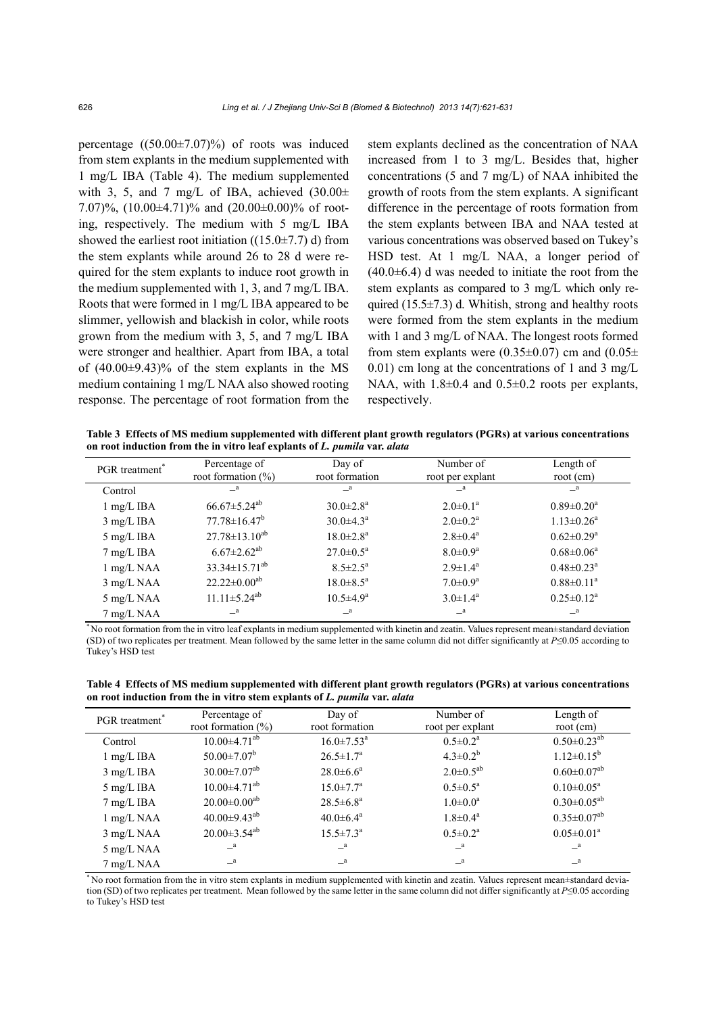percentage  $((50.00\pm7.07)\%)$  of roots was induced from stem explants in the medium supplemented with 1 mg/L IBA (Table 4). The medium supplemented with 3, 5, and 7 mg/L of IBA, achieved  $(30.00\pm$ 7.07)%,  $(10.00\pm4.71)$ % and  $(20.00\pm0.00)$ % of rooting, respectively. The medium with 5 mg/L IBA showed the earliest root initiation  $((15.0\pm7.7)$  d) from the stem explants while around 26 to 28 d were required for the stem explants to induce root growth in the medium supplemented with 1, 3, and 7 mg/L IBA. Roots that were formed in 1 mg/L IBA appeared to be slimmer, yellowish and blackish in color, while roots grown from the medium with 3, 5, and 7 mg/L IBA were stronger and healthier. Apart from IBA, a total of  $(40.00\pm9.43)\%$  of the stem explants in the MS medium containing 1 mg/L NAA also showed rooting response. The percentage of root formation from the stem explants declined as the concentration of NAA increased from 1 to 3 mg/L. Besides that, higher concentrations (5 and 7 mg/L) of NAA inhibited the growth of roots from the stem explants. A significant difference in the percentage of roots formation from the stem explants between IBA and NAA tested at various concentrations was observed based on Tukey's HSD test. At 1 mg/L NAA, a longer period of  $(40.0\pm6.4)$  d was needed to initiate the root from the stem explants as compared to 3 mg/L which only required  $(15.5\pm7.3)$  d. Whitish, strong and healthy roots were formed from the stem explants in the medium with 1 and 3 mg/L of NAA. The longest roots formed from stem explants were  $(0.35\pm0.07)$  cm and  $(0.05\pm$ 0.01) cm long at the concentrations of 1 and 3 mg/L NAA, with  $1.8\pm0.4$  and  $0.5\pm0.2$  roots per explants, respectively.

**Table 3 Effects of MS medium supplemented with different plant growth regulators (PGRs) at various concentrations on root induction from the in vitro leaf explants of** *L. pumila* **var.** *alata*

| PGR treatment <sup>®</sup> | Percentage of<br>root formation $(\% )$ | Day of<br>root formation    | Number of<br>root per explant | Length of<br>root $(cm)$     |
|----------------------------|-----------------------------------------|-----------------------------|-------------------------------|------------------------------|
| Control                    | $\equiv$ a                              | $-{}^a$                     | $\equiv$ a                    | $\equiv$ <sup>a</sup>        |
| $1 \text{ mg/L}$ IBA       | $66.67 \pm 5.24^{ab}$                   | $30.0 \pm 2.8$ <sup>a</sup> | $2.0 \pm 0.1^a$               | $0.89 \pm 0.20$ <sup>a</sup> |
| $3$ mg/L IBA               | $77.78 \pm 16.47^b$                     | $30.0 \pm 4.3$ <sup>a</sup> | $2.0 \pm 0.2^{\text{a}}$      | $1.13 \pm 0.26^a$            |
| $5 \text{ mg/L}$ IBA       | $27.78 \pm 13.10^{ab}$                  | $18.0 \pm 2.8$ <sup>a</sup> | $2.8 \pm 0.4^{\text{a}}$      | $0.62 \pm 0.29$ <sup>a</sup> |
| $7 \text{ mg/L}$ IBA       | $6.67 \pm 2.62$ <sup>ab</sup>           | $27.0 \pm 0.5^{\text{a}}$   | $8.0 \pm 0.9^a$               | $0.68 \pm 0.06^a$            |
| 1 mg/L NAA                 | $33.34 \pm 15.71^{ab}$                  | $8.5 \pm 2.5^{\circ}$       | $2.9 \pm 1.4^{\text{a}}$      | $0.48 \pm 0.23$ <sup>a</sup> |
| 3 mg/L NAA                 | $22.22 \pm 0.00^{ab}$                   | $18.0 \pm 8.5^{\text{a}}$   | $7.0 \pm 0.9^a$               | $0.88 \pm 0.11$ <sup>a</sup> |
| 5 mg/L NAA                 | $11.11 \pm 5.24$ <sup>ab</sup>          | $10.5 \pm 4.9^a$            | $3.0 \pm 1.4^{\circ}$         | $0.25 \pm 0.12^a$            |
| 7 mg/L NAA                 | $\equiv$ a                              | $\equiv$ a                  | $\equiv$ a                    | $\equiv$ <sup>a</sup>        |

\* No root formation from the in vitro leaf explants in medium supplemented with kinetin and zeatin. Values represent mean±standard deviation (SD) of two replicates per treatment. Mean followed by the same letter in the same column did not differ significantly at *P*≤0.05 according to Tukey's HSD test

**Table 4 Effects of MS medium supplemented with different plant growth regulators (PGRs) at various concentrations on root induction from the in vitro stem explants of** *L. pumila* **var.** *alata*

| PGR treatment        | Percentage of                  | Day of                       | Number of                | Length of                     |
|----------------------|--------------------------------|------------------------------|--------------------------|-------------------------------|
|                      | root formation $(\% )$         | root formation               | root per explant         | $root$ (cm)                   |
| Control              | $10.00\pm4.71^{ab}$            | $16.0 \pm 7.53$ <sup>a</sup> | $0.5 \pm 0.2^{\text{a}}$ | $0.50 \pm 0.23$ <sup>ab</sup> |
| $1 \text{ mg/L}$ IBA | $50.00 \pm 7.07^b$             | $26.5 \pm 1.7^a$             | $4.3 \pm 0.2^b$          | $1.12 \pm 0.15^b$             |
| 3 mg/L IBA           | $30.00 \pm 7.07^{ab}$          | $28.0 \pm 6.6^a$             | $2.0 \pm 0.5^{ab}$       | $0.60 \pm 0.07$ <sup>ab</sup> |
| 5 mg/L IBA           | $10.00 \pm 4.71$ <sup>ab</sup> | $15.0 \pm 7.7$ <sup>a</sup>  | $0.5 \pm 0.5^{\text{a}}$ | $0.10 \pm 0.05^{\text{a}}$    |
| 7 mg/L IBA           | $20.00 \pm 0.00^{ab}$          | $28.5 \pm 6.8^a$             | $1.0 \pm 0.0^a$          | $0.30 \pm 0.05^{ab}$          |
| 1 mg/L NAA           | $40.00 \pm 9.43^{ab}$          | $40.0 \pm 6.4^{\circ}$       | $1.8 \pm 0.4^{\text{a}}$ | $0.35 \pm 0.07^{ab}$          |
| 3 mg/L NAA           | $20.00 \pm 3.54^{ab}$          | $15.5 \pm 7.3^{\text{a}}$    | $0.5 \pm 0.2^{\text{a}}$ | $0.05 \pm 0.01^a$             |
| 5 mg/L NAA           | $\equiv$ a                     | $\equiv$ <sup>a</sup>        | $\equiv$ <sup>a</sup>    | $\equiv$ a                    |
| 7 mg/L NAA           | $\mathbf{a}$                   | $\mathbf{a}$                 | $\mathbf{a}$             | $\mathbf{a}$                  |

\* No root formation from the in vitro stem explants in medium supplemented with kinetin and zeatin. Values represent mean±standard deviation (SD) of two replicates per treatment. Mean followed by the same letter in the same column did not differ significantly at *P*≤0.05 according to Tukey's HSD test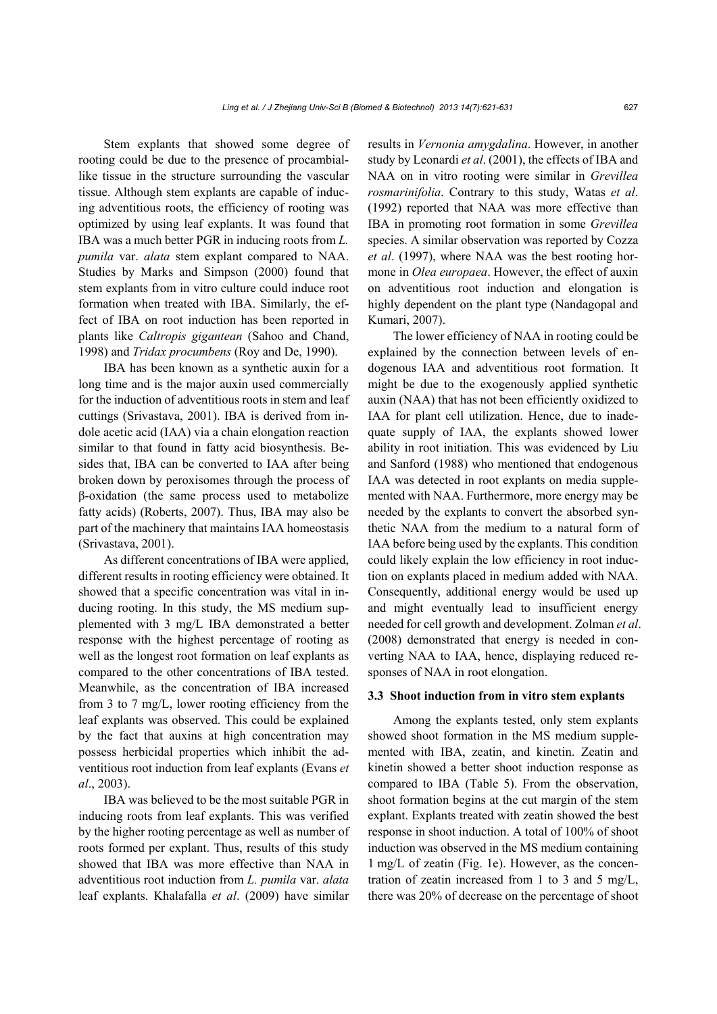Stem explants that showed some degree of rooting could be due to the presence of procambiallike tissue in the structure surrounding the vascular tissue. Although stem explants are capable of inducing adventitious roots, the efficiency of rooting was optimized by using leaf explants. It was found that IBA was a much better PGR in inducing roots from *L. pumila* var. *alata* stem explant compared to NAA. Studies by Marks and Simpson (2000) found that stem explants from in vitro culture could induce root formation when treated with IBA. Similarly, the effect of IBA on root induction has been reported in plants like *Caltropis gigantean* (Sahoo and Chand, 1998) and *Tridax procumbens* (Roy and De, 1990).

IBA has been known as a synthetic auxin for a long time and is the major auxin used commercially for the induction of adventitious roots in stem and leaf cuttings (Srivastava, 2001). IBA is derived from indole acetic acid (IAA) via a chain elongation reaction similar to that found in fatty acid biosynthesis. Besides that, IBA can be converted to IAA after being broken down by peroxisomes through the process of β-oxidation (the same process used to metabolize fatty acids) (Roberts, 2007). Thus, IBA may also be part of the machinery that maintains IAA homeostasis (Srivastava, 2001).

As different concentrations of IBA were applied, different results in rooting efficiency were obtained. It showed that a specific concentration was vital in inducing rooting. In this study, the MS medium supplemented with 3 mg/L IBA demonstrated a better response with the highest percentage of rooting as well as the longest root formation on leaf explants as compared to the other concentrations of IBA tested. Meanwhile, as the concentration of IBA increased from 3 to 7 mg/L, lower rooting efficiency from the leaf explants was observed. This could be explained by the fact that auxins at high concentration may possess herbicidal properties which inhibit the adventitious root induction from leaf explants (Evans *et al*., 2003).

IBA was believed to be the most suitable PGR in inducing roots from leaf explants. This was verified by the higher rooting percentage as well as number of roots formed per explant. Thus, results of this study showed that IBA was more effective than NAA in adventitious root induction from *L. pumila* var. *alata* leaf explants. Khalafalla *et al*. (2009) have similar results in *Vernonia amygdalina*. However, in another study by Leonardi *et al*. (2001), the effects of IBA and NAA on in vitro rooting were similar in *Grevillea rosmarinifolia*. Contrary to this study, Watas *et al*. (1992) reported that NAA was more effective than IBA in promoting root formation in some *Grevillea* species. A similar observation was reported by Cozza *et al*. (1997), where NAA was the best rooting hormone in *Olea europaea*. However, the effect of auxin on adventitious root induction and elongation is highly dependent on the plant type (Nandagopal and Kumari, 2007).

The lower efficiency of NAA in rooting could be explained by the connection between levels of endogenous IAA and adventitious root formation. It might be due to the exogenously applied synthetic auxin (NAA) that has not been efficiently oxidized to IAA for plant cell utilization. Hence, due to inadequate supply of IAA, the explants showed lower ability in root initiation. This was evidenced by Liu and Sanford (1988) who mentioned that endogenous IAA was detected in root explants on media supplemented with NAA. Furthermore, more energy may be needed by the explants to convert the absorbed synthetic NAA from the medium to a natural form of IAA before being used by the explants. This condition could likely explain the low efficiency in root induction on explants placed in medium added with NAA. Consequently, additional energy would be used up and might eventually lead to insufficient energy needed for cell growth and development. Zolman *et al*. (2008) demonstrated that energy is needed in converting NAA to IAA, hence, displaying reduced responses of NAA in root elongation.

#### **3.3 Shoot induction from in vitro stem explants**

Among the explants tested, only stem explants showed shoot formation in the MS medium supplemented with IBA, zeatin, and kinetin. Zeatin and kinetin showed a better shoot induction response as compared to IBA (Table 5). From the observation, shoot formation begins at the cut margin of the stem explant. Explants treated with zeatin showed the best response in shoot induction. A total of 100% of shoot induction was observed in the MS medium containing 1 mg/L of zeatin (Fig. 1e). However, as the concentration of zeatin increased from 1 to 3 and 5 mg/L, there was 20% of decrease on the percentage of shoot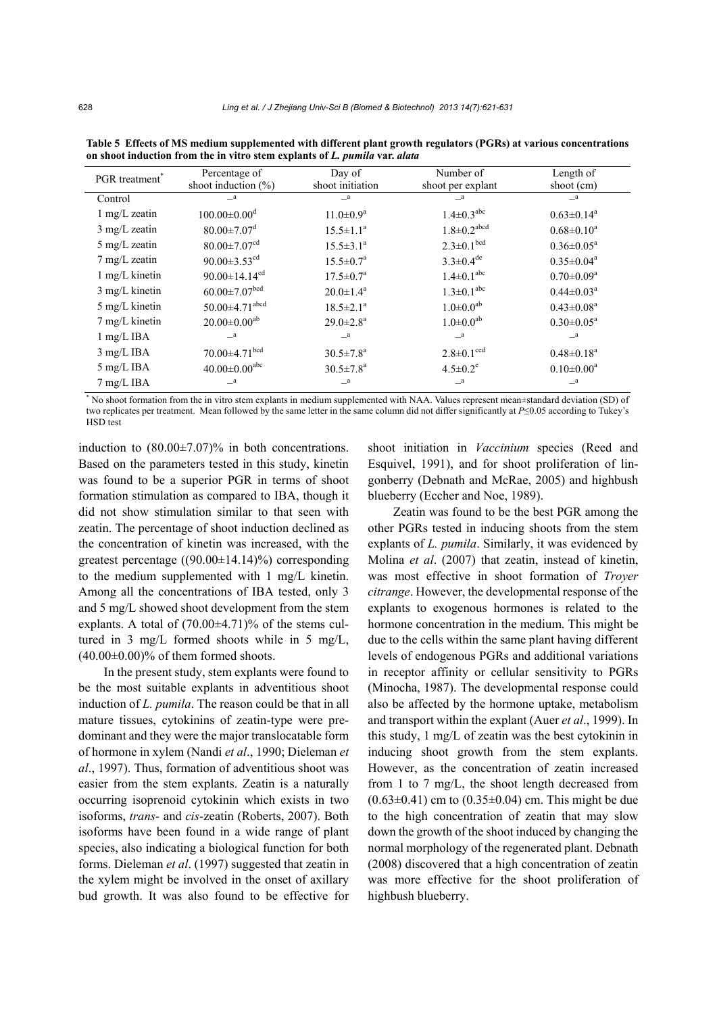| PGR treatment <sup>®</sup> | Percentage of                    | Day of                      | Number of                     | Length of                    |
|----------------------------|----------------------------------|-----------------------------|-------------------------------|------------------------------|
|                            | shoot induction $(\%)$           | shoot initiation            | shoot per explant             | shoot (cm)                   |
| Control                    | $\equiv$ <sup>a</sup>            | $\mathbf{a}$                | $\equiv$ <sup>a</sup>         | $\mathbf{a}$                 |
| 1 mg/L zeatin              | $100.00 \pm 0.00$ <sup>d</sup>   | $11.0 \pm 0.9^a$            | $1.4 \pm 0.3$ <sup>abc</sup>  | $0.63 \pm 0.14^a$            |
| $3$ mg/L zeatin            | $80.00 \pm 7.07$ <sup>d</sup>    | $15.5 \pm 1.1^a$            | $1.8 \pm 0.2$ <sup>abcd</sup> | $0.68 \pm 0.10^a$            |
| $5 \text{ mg/L}$ zeatin    | $80.00 \pm 7.07$ <sup>cd</sup>   | $15.5 \pm 3.1^a$            | $2.3 \pm 0.1^{bcd}$           | $0.36 \pm 0.05^{\text{a}}$   |
| $7 \text{ mg/L}$ zeatin    | 90.00 $\pm$ 3.53 <sup>cd</sup>   | $15.5 \pm 0.7^a$            | $3.3 \pm 0.4$ <sup>de</sup>   | $0.35 \pm 0.04^a$            |
| $1$ mg/L kinetin           | 90.00 $\pm$ 14.14 <sup>cd</sup>  | $17.5 \pm 0.7^a$            | $1.4 \pm 0.1$ <sup>abc</sup>  | $0.70 \pm 0.09^a$            |
| $3$ mg/L kinetin           | $60.00 \pm 7.07$ <sup>bcd</sup>  | $20.0 \pm 1.4^a$            | $1.3 \pm 0.1$ <sup>abc</sup>  | $0.44 \pm 0.03^a$            |
| 5 mg/L kinetin             | $50.00 \pm 4.71$ <sup>abcd</sup> | $18.5 \pm 2.1^a$            | $1.0 \pm 0.0^{ab}$            | $0.43 \pm 0.08^a$            |
| 7 mg/L kinetin             | $20.00 \pm 0.00$ <sup>ab</sup>   | $29.0 \pm 2.8$ <sup>a</sup> | $1.0 \pm 0.0^{ab}$            | $0.30 \pm 0.05^a$            |
| $1 \text{ mg/L}$ IBA       | $-$ <sup>a</sup>                 | $\mathbf{a}$                | $\mathbf{a}$                  | $-$ <sup>a</sup>             |
| $3$ mg/L IBA               | $70.00 \pm 4.71$ <sup>bcd</sup>  | $30.5 \pm 7.8^a$            | $2.8 \pm 0.1$ <sup>ced</sup>  | $0.48 \pm 0.18$ <sup>a</sup> |
| 5 mg/L IBA                 | $40.00 \pm 0.00$ <sup>abc</sup>  | $30.5 \pm 7.8$ <sup>a</sup> | $4.5 \pm 0.2^e$               | $0.10 \pm 0.00^a$            |
| 7 mg/L IBA                 | $-{}^a$                          | $\mathbf{a}$                | $\mathbf{a}$                  | $\mathbf{a}$                 |

**Table 5 Effects of MS medium supplemented with different plant growth regulators (PGRs) at various concentrations on shoot induction from the in vitro stem explants of** *L. pumila* **var.** *alata*

\* No shoot formation from the in vitro stem explants in medium supplemented with NAA. Values represent mean±standard deviation (SD) of two replicates per treatment. Mean followed by the same letter in the same column did not differ significantly at *P*≤0.05 according to Tukey's HSD test

induction to  $(80.00 \pm 7.07)\%$  in both concentrations. Based on the parameters tested in this study, kinetin was found to be a superior PGR in terms of shoot formation stimulation as compared to IBA, though it did not show stimulation similar to that seen with zeatin. The percentage of shoot induction declined as the concentration of kinetin was increased, with the greatest percentage ((90.00±14.14)%) corresponding to the medium supplemented with 1 mg/L kinetin. Among all the concentrations of IBA tested, only 3 and 5 mg/L showed shoot development from the stem explants. A total of  $(70.00\pm4.71)\%$  of the stems cultured in 3 mg/L formed shoots while in 5 mg/L,  $(40.00\pm0.00)\%$  of them formed shoots.

In the present study, stem explants were found to be the most suitable explants in adventitious shoot induction of *L. pumila*. The reason could be that in all mature tissues, cytokinins of zeatin-type were predominant and they were the major translocatable form of hormone in xylem (Nandi *et al*., 1990; Dieleman *et al*., 1997). Thus, formation of adventitious shoot was easier from the stem explants. Zeatin is a naturally occurring isoprenoid cytokinin which exists in two isoforms, *trans*- and *cis*-zeatin (Roberts, 2007). Both isoforms have been found in a wide range of plant species, also indicating a biological function for both forms. Dieleman *et al*. (1997) suggested that zeatin in the xylem might be involved in the onset of axillary bud growth. It was also found to be effective for

shoot initiation in *Vaccinium* species (Reed and Esquivel, 1991), and for shoot proliferation of lingonberry (Debnath and McRae, 2005) and highbush blueberry (Eccher and Noe, 1989).

Zeatin was found to be the best PGR among the other PGRs tested in inducing shoots from the stem explants of *L. pumila*. Similarly, it was evidenced by Molina *et al*. (2007) that zeatin, instead of kinetin, was most effective in shoot formation of *Troyer citrange*. However, the developmental response of the explants to exogenous hormones is related to the hormone concentration in the medium. This might be due to the cells within the same plant having different levels of endogenous PGRs and additional variations in receptor affinity or cellular sensitivity to PGRs (Minocha, 1987). The developmental response could also be affected by the hormone uptake, metabolism and transport within the explant (Auer *et al*., 1999). In this study, 1 mg/L of zeatin was the best cytokinin in inducing shoot growth from the stem explants. However, as the concentration of zeatin increased from 1 to 7 mg/L, the shoot length decreased from  $(0.63\pm0.41)$  cm to  $(0.35\pm0.04)$  cm. This might be due to the high concentration of zeatin that may slow down the growth of the shoot induced by changing the normal morphology of the regenerated plant. Debnath (2008) discovered that a high concentration of zeatin was more effective for the shoot proliferation of highbush blueberry.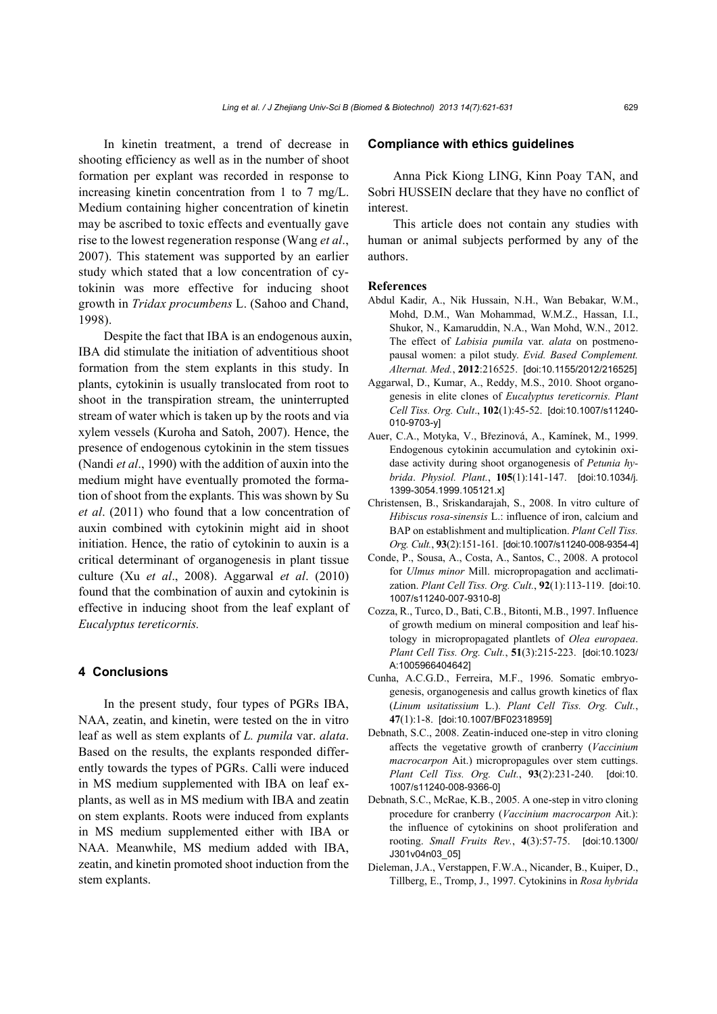In kinetin treatment, a trend of decrease in shooting efficiency as well as in the number of shoot formation per explant was recorded in response to increasing kinetin concentration from 1 to 7 mg/L. Medium containing higher concentration of kinetin may be ascribed to toxic effects and eventually gave rise to the lowest regeneration response (Wang *et al*., 2007). This statement was supported by an earlier study which stated that a low concentration of cytokinin was more effective for inducing shoot growth in *Tridax procumbens* L. (Sahoo and Chand, 1998).

Despite the fact that IBA is an endogenous auxin, IBA did stimulate the initiation of adventitious shoot formation from the stem explants in this study. In plants, cytokinin is usually translocated from root to shoot in the transpiration stream, the uninterrupted stream of water which is taken up by the roots and via xylem vessels (Kuroha and Satoh, 2007). Hence, the presence of endogenous cytokinin in the stem tissues (Nandi *et al*., 1990) with the addition of auxin into the medium might have eventually promoted the formation of shoot from the explants. This was shown by Su *et al*. (2011) who found that a low concentration of auxin combined with cytokinin might aid in shoot initiation. Hence, the ratio of cytokinin to auxin is a critical determinant of organogenesis in plant tissue culture (Xu *et al*., 2008). Aggarwal *et al*. (2010) found that the combination of auxin and cytokinin is effective in inducing shoot from the leaf explant of *Eucalyptus tereticornis.*

## **4 Conclusions**

In the present study, four types of PGRs IBA, NAA, zeatin, and kinetin, were tested on the in vitro leaf as well as stem explants of *L. pumila* var. *alata*. Based on the results, the explants responded differently towards the types of PGRs. Calli were induced in MS medium supplemented with IBA on leaf explants, as well as in MS medium with IBA and zeatin on stem explants. Roots were induced from explants in MS medium supplemented either with IBA or NAA. Meanwhile, MS medium added with IBA, zeatin, and kinetin promoted shoot induction from the stem explants.

## **Compliance with ethics guidelines**

Anna Pick Kiong LING, Kinn Poay TAN, and Sobri HUSSEIN declare that they have no conflict of interest.

This article does not contain any studies with human or animal subjects performed by any of the authors.

#### **References**

- Abdul Kadir, A., Nik Hussain, N.H., Wan Bebakar, W.M., Mohd, D.M., Wan Mohammad, W.M.Z., Hassan, I.I., Shukor, N., Kamaruddin, N.A., Wan Mohd, W.N., 2012. The effect of *Labisia pumila* var. *alata* on postmenopausal women: a pilot study. *Evid. Based Complement. Alternat. Med.*, **2012**:216525. [doi:10.1155/2012/216525]
- Aggarwal, D., Kumar, A., Reddy, M.S., 2010. Shoot organogenesis in elite clones of *Eucalyptus tereticornis. Plant Cell Tiss. Org. Cult*., **102**(1):45-52. [doi:10.1007/s11240- 010-9703-y]
- Auer, C.A., Motyka, V., Březinová, A., Kamínek, M., 1999. Endogenous cytokinin accumulation and cytokinin oxidase activity during shoot organogenesis of *Petunia hybrida*. *Physiol. Plant.*, **105**(1):141-147. [doi:10.1034/j. 1399-3054.1999.105121.x]
- Christensen, B., Sriskandarajah, S., 2008. In vitro culture of *Hibiscus rosa-sinensis* L.: influence of iron, calcium and BAP on establishment and multiplication. *Plant Cell Tiss. Org. Cult.*, **93**(2):151-161. [doi:10.1007/s11240-008-9354-4]
- Conde, P., Sousa, A., Costa, A., Santos, C., 2008. A protocol for *Ulmus minor* Mill. micropropagation and acclimatization. *Plant Cell Tiss. Org. Cult.*, **92**(1):113-119. [doi:10. 1007/s11240-007-9310-8]
- Cozza, R., Turco, D., Bati, C.B., Bitonti, M.B., 1997. Influence of growth medium on mineral composition and leaf histology in micropropagated plantlets of *Olea europaea*. *Plant Cell Tiss. Org. Cult.*, **51**(3):215-223. [doi:10.1023/ A:1005966404642]
- Cunha, A.C.G.D., Ferreira, M.F., 1996. Somatic embryogenesis, organogenesis and callus growth kinetics of flax (*Linum usitatissium* L.). *Plant Cell Tiss. Org. Cult.*, **47**(1):1-8. [doi:10.1007/BF02318959]
- Debnath, S.C., 2008. Zeatin-induced one-step in vitro cloning affects the vegetative growth of cranberry (*Vaccinium macrocarpon* Ait.) micropropagules over stem cuttings. *Plant Cell Tiss. Org. Cult.*, **93**(2):231-240. [doi:10. 1007/s11240-008-9366-0]
- Debnath, S.C., McRae, K.B., 2005. A one-step in vitro cloning procedure for cranberry (*Vaccinium macrocarpon* Ait.): the influence of cytokinins on shoot proliferation and rooting. *Small Fruits Rev.*, **4**(3):57-75. [doi:10.1300/ J301v04n03\_05]
- Dieleman, J.A., Verstappen, F.W.A., Nicander, B., Kuiper, D., Tillberg, E., Tromp, J., 1997. Cytokinins in *Rosa hybrida*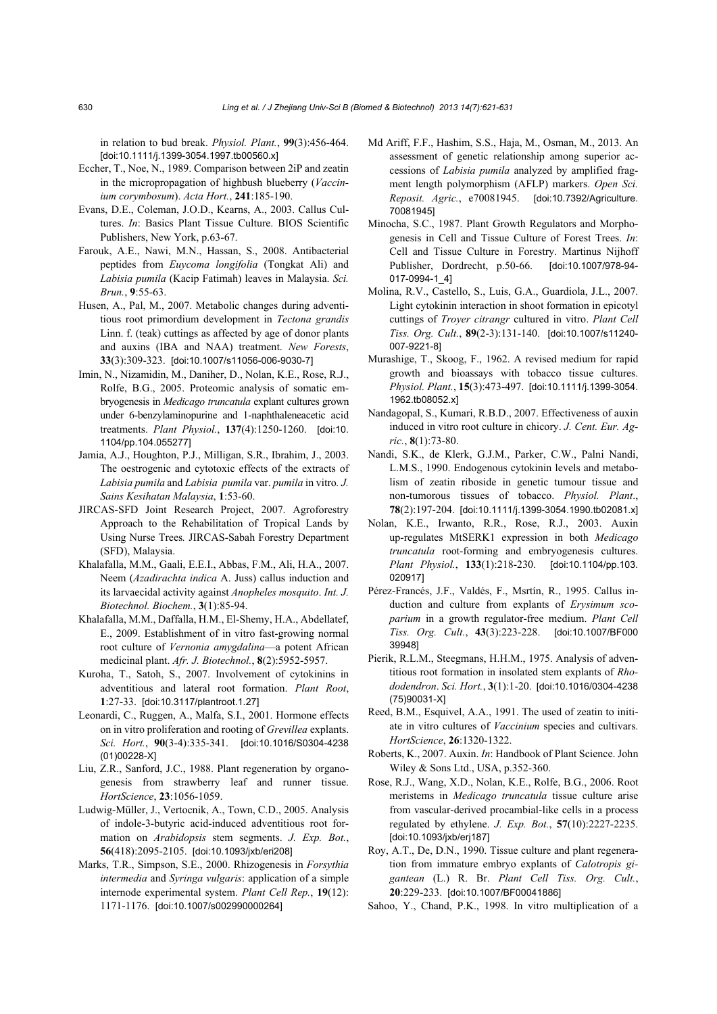in relation to bud break. *Physiol. Plant.*, **99**(3):456-464. [doi:10.1111/j.1399-3054.1997.tb00560.x]

- Eccher, T., Noe, N., 1989. Comparison between 2iP and zeatin in the micropropagation of highbush blueberry (*Vaccinium corymbosum*). *Acta Hort.*, **241**:185-190.
- Evans, D.E., Coleman, J.O.D., Kearns, A., 2003. Callus Cultures. *In*: Basics Plant Tissue Culture. BIOS Scientific Publishers, New York, p.63-67.
- Farouk, A.E., Nawi, M.N., Hassan, S., 2008. Antibacterial peptides from *Euycoma longifolia* (Tongkat Ali) and *Labisia pumila* (Kacip Fatimah) leaves in Malaysia. *Sci. Brun.*, **9**:55-63.
- Husen, A., Pal, M., 2007. Metabolic changes during adventitious root primordium development in *Tectona grandis*  Linn. f. (teak) cuttings as affected by age of donor plants and auxins (IBA and NAA) treatment. *New Forests*, **33**(3):309-323. [doi:10.1007/s11056-006-9030-7]
- Imin, N., Nizamidin, M., Daniher, D., Nolan, K.E., Rose, R.J., Rolfe, B.G., 2005. Proteomic analysis of somatic embryogenesis in *Medicago truncatula* explant cultures grown under 6-benzylaminopurine and 1-naphthaleneacetic acid treatments. *Plant Physiol.*, **137**(4):1250-1260. [doi:10. 1104/pp.104.055277]
- Jamia, A.J., Houghton, P.J., Milligan, S.R., Ibrahim, J., 2003. The oestrogenic and cytotoxic effects of the extracts of *Labisia pumila* and *Labisia pumila* var. *pumila* in vitro*. J. Sains Kesihatan Malaysia*, **1**:53-60.
- JIRCAS-SFD Joint Research Project, 2007. Agroforestry Approach to the Rehabilitation of Tropical Lands by Using Nurse Trees*.* JIRCAS-Sabah Forestry Department (SFD), Malaysia.
- Khalafalla, M.M., Gaali, E.E.I., Abbas, F.M., Ali, H.A., 2007. Neem (*Azadirachta indica* A. Juss) callus induction and its larvaecidal activity against *Anopheles mosquito*. *Int. J. Biotechnol. Biochem.*, **3**(1):85-94.
- Khalafalla, M.M., Daffalla, H.M., El-Shemy, H.A., Abdellatef, E., 2009. Establishment of in vitro fast-growing normal root culture of *Vernonia amygdalina*—a potent African medicinal plant. *Afr. J. Biotechnol.*, **8**(2):5952-5957.
- Kuroha, T., Satoh, S., 2007. Involvement of cytokinins in adventitious and lateral root formation. *Plant Root*, **1**:27-33. [doi:10.3117/plantroot.1.27]
- Leonardi, C., Ruggen, A., Malfa, S.I., 2001. Hormone effects on in vitro proliferation and rooting of *Grevillea* explants. *Sci. Hort.*, **90**(3-4):335-341. [doi:10.1016/S0304-4238 (01)00228-X]
- Liu, Z.R., Sanford, J.C., 1988. Plant regeneration by organogenesis from strawberry leaf and runner tissue. *HortScience*, **23**:1056-1059.
- Ludwig-Müller, J., Vertocnik, A., Town, C.D., 2005. Analysis of indole-3-butyric acid-induced adventitious root formation on *Arabidopsis* stem segments. *J. Exp. Bot.*, **56**(418):2095-2105. [doi:10.1093/jxb/eri208]
- Marks, T.R., Simpson, S.E., 2000. Rhizogenesis in *Forsythia intermedia* and *Syringa vulgaris*: application of a simple internode experimental system. *Plant Cell Rep.*, **19**(12): 1171-1176. [doi:10.1007/s002990000264]
- Md Ariff, F.F., Hashim, S.S., Haja, M., Osman, M., 2013. An assessment of genetic relationship among superior accessions of *Labisia pumila* analyzed by amplified fragment length polymorphism (AFLP) markers. *Open Sci. Reposit. Agric.*, e70081945. [doi:10.7392/Agriculture. 70081945]
- Minocha, S.C., 1987. Plant Growth Regulators and Morphogenesis in Cell and Tissue Culture of Forest Trees. *In*: Cell and Tissue Culture in Forestry. Martinus Nijhoff Publisher, Dordrecht, p.50-66. [doi:10.1007/978-94- 017-0994-1\_4]
- Molina, R.V., Castello, S., Luis, G.A., Guardiola, J.L., 2007. Light cytokinin interaction in shoot formation in epicotyl cuttings of *Troyer citrangr* cultured in vitro. *Plant Cell Tiss. Org. Cult.*, **89**(2-3):131-140. [doi:10.1007/s11240- 007-9221-8]
- Murashige, T., Skoog, F., 1962. A revised medium for rapid growth and bioassays with tobacco tissue cultures. *Physiol. Plant.*, **15**(3):473-497. [doi:10.1111/j.1399-3054. 1962.tb08052.x]
- Nandagopal, S., Kumari, R.B.D., 2007. Effectiveness of auxin induced in vitro root culture in chicory. *J. Cent. Eur. Agric.*, **8**(1):73-80.
- Nandi, S.K., de Klerk, G.J.M., Parker, C.W., Palni Nandi, L.M.S., 1990. Endogenous cytokinin levels and metabolism of zeatin riboside in genetic tumour tissue and non-tumorous tissues of tobacco. *Physiol. Plant*., **78**(2):197-204. [doi:10.1111/j.1399-3054.1990.tb02081.x]
- Nolan, K.E., Irwanto, R.R., Rose, R.J., 2003. Auxin up-regulates MtSERK1 expression in both *Medicago truncatula* root-forming and embryogenesis cultures. *Plant Physiol.*, **133**(1):218-230. [doi:10.1104/pp.103. 020917]
- Pérez-Francés, J.F., Valdés, F., Msrtín, R., 1995. Callus induction and culture from explants of *Erysimum scoparium* in a growth regulator-free medium. *Plant Cell Tiss. Org. Cult.*, **43**(3):223-228. [doi:10.1007/BF000 39948]
- Pierik, R.L.M., Steegmans, H.H.M., 1975. Analysis of adventitious root formation in insolated stem explants of *Rhododendron*. *Sci. Hort.*, **3**(1):1-20. [doi:10.1016/0304-4238 (75)90031-X]
- Reed, B.M., Esquivel, A.A., 1991. The used of zeatin to initiate in vitro cultures of *Vaccinium* species and cultivars. *HortScience*, **26**:1320-1322.
- Roberts, K., 2007. Auxin. *In*: Handbook of Plant Science. John Wiley & Sons Ltd., USA, p.352-360.
- Rose, R.J., Wang, X.D., Nolan, K.E., Rolfe, B.G., 2006. Root meristems in *Medicago truncatula* tissue culture arise from vascular-derived procambial-like cells in a process regulated by ethylene. *J. Exp. Bot.*, **57**(10):2227-2235. [doi:10.1093/jxb/erj187]
- Roy, A.T., De, D.N., 1990. Tissue culture and plant regeneration from immature embryo explants of *Calotropis gigantean* (L.) R. Br. *Plant Cell Tiss. Org. Cult.*, **20**:229-233. [doi:10.1007/BF00041886]
- Sahoo, Y., Chand, P.K., 1998. In vitro multiplication of a